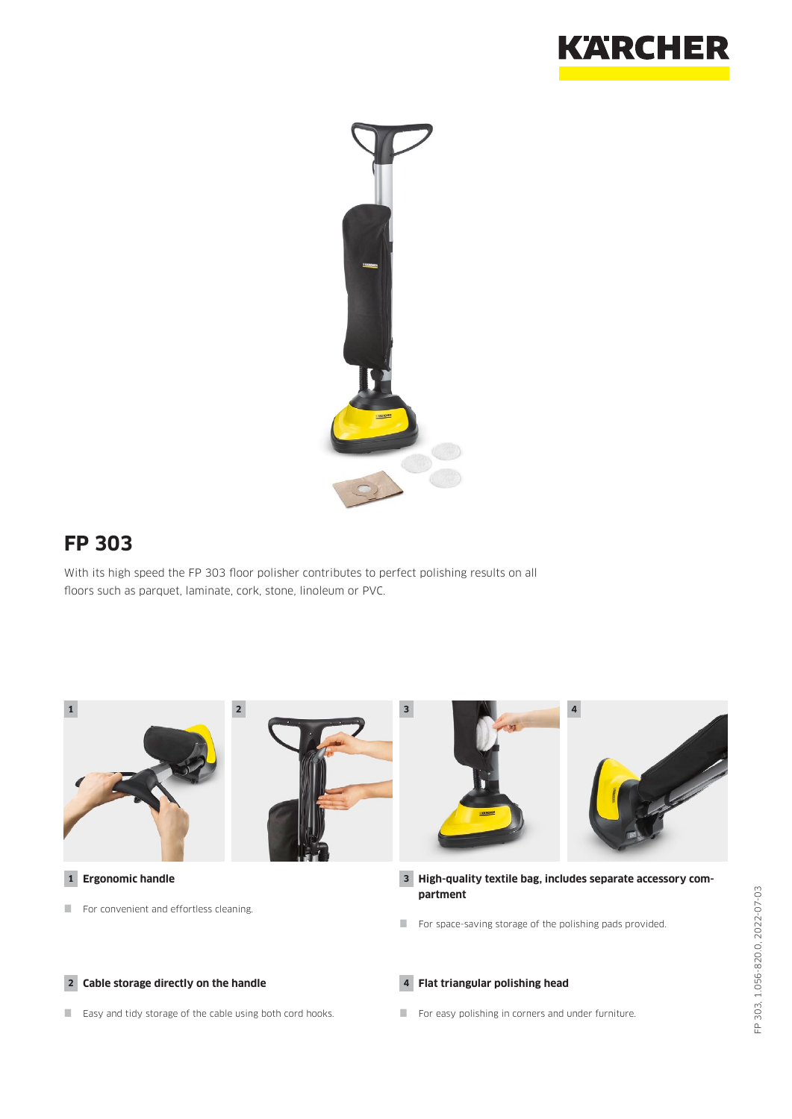



## **FP 303**

With its high speed the FP 303 floor polisher contributes to perfect polishing results on all floors such as parquet, laminate, cork, stone, linoleum or PVC.

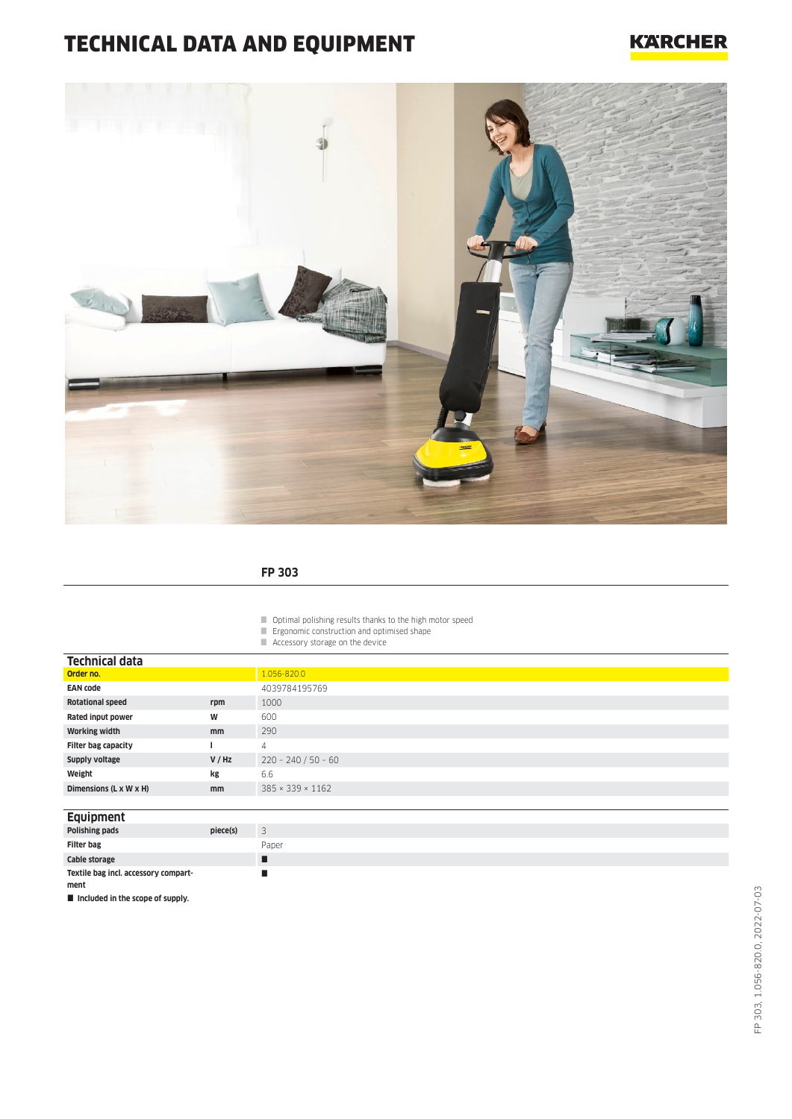# TECHNICAL DATA AND EQUIPMENT

### **KARCHER**



#### **FP 303**

Optimal polishing results thanks to the high motor speed

- **Expression** Ergonomic construction and optimised shape
- Accessory storage on the device

| Technical data             |               |                              |
|----------------------------|---------------|------------------------------|
| Order no.                  |               | 1.056-820.0                  |
| <b>EAN code</b>            |               | 4039784195769                |
| <b>Rotational speed</b>    | rpm           | 1000                         |
| Rated input power          | W             | 600                          |
| <b>Working width</b>       | <sub>mm</sub> | 290                          |
| <b>Filter bag capacity</b> |               | 4                            |
| Supply voltage             | V / Hz        | $220 - 240 / 50 - 60$        |
| Weight                     | kg            | 6.6                          |
| Dimensions (L x W x H)     | <sub>mm</sub> | $385 \times 339 \times 1162$ |
|                            |               |                              |

| Equipment                            |          |                               |
|--------------------------------------|----------|-------------------------------|
| Polishing pads                       | piece(s) | $\overline{\phantom{0}}$<br>ر |
| <b>Filter bag</b>                    |          | Paper                         |
| Cable storage                        |          |                               |
| Textile bag incl. accessory compart- |          |                               |
| ment                                 |          |                               |

 $\blacksquare$  Included in the scope of supply.